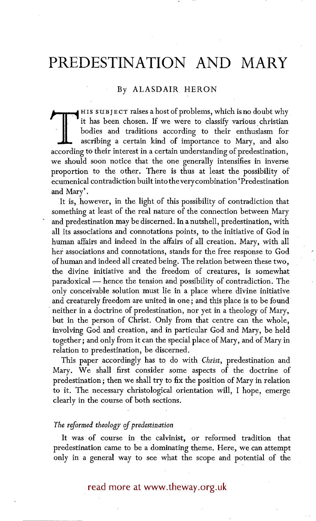## **PREDESTINATION AND MARY**

## By ALASDAIR HERON

 $\blacksquare$  H Is subject raises a host of problems, which is no doubt why it has been chosen. If we were to classify various christian bodies and traditions according to their enthusiasm for ascribing a certain kind of importance to Mary, and also according to their interest in a certain understanding of predestination, we should soon notice that the one generally intensifies in inverse proportion to the other. There is thus at least the possibility of ecumenical contradiction built into the very combination' Predestination and Mary'.

It is, however, in the light of this possibility of contradiction that something at least of the real nature of the connection between Mary and predestination may be discerned. In a nutshell, predestination, with all its associations and connotations points, to the initiative of God in human affairs and indeed in the affairs of all creation. Mary, with all her associations and connotations, stands for the free response to God of human and indeed all created being. The relation between these two, the divine initiative and the freedom of creatures, is somewhat paradoxical — hence the tension and possibility of contradiction. The only conceivable solution must lie in a place where divine initiative and creaturely freedom are united in one; and this place is to be found • neither in a doctrine of predestination, nor yet in a theology of Mary, but in the person of Christ. Only from that centre can the whole, involving God and creation, and in particular God and Mary, be held together; and only from it can the special place of Mary, and of Mary in relation to predestination, be discerned.

This paper accordingly has to do with *Christ,* predestination and Mary. We shall first consider some aspects of the doctrine of predestination; then we shall try to fix the position of Mary in relation to it. The necessary christological orientation will, I hope, emerge clearly in the course of both sections.

## *The reformed theology of predestination*

It was of course in the calvinist, or reformed tradition that predestination came to be a dominating theme. Here, we can attempt only in a general way to see what the scope and potential of the

read more at www.theway.org.uk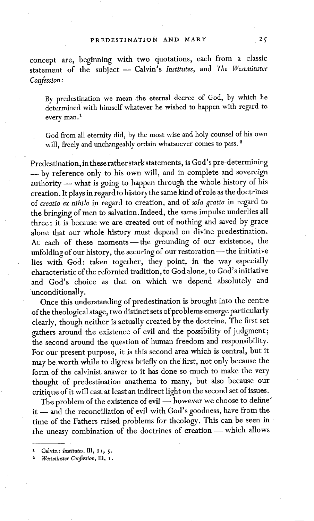concept are, beginning with two quotations, each from a classic statement of the subject - Calvin's *Institutes*, and *The Westminster Confession:* 

By predestination we mean the eternal decree of God, by which he determined with himself whatever he wished to happen with regard to every man.<sup>1</sup>

God from all eternity did, by the most wise and holy counsel of his own will, freely and unchangeably ordain whatsoever comes to pass.<sup>2</sup>

Predestination, inthese rather starkstatements, is God's pre-determining **--by** reference only to his own will, and in complete and sovereign authority — what is going to happen through the whole history of his creation. It plays in regard to history the same kind of role as the do ctrines of *creatio ex nihilo* in regard to creation, and of *sola gratia* in regard to the bringing of men to salvation. Indeed, the same impulse underlies all three: it is because we are created out of nothing and saved by grace alone that our whole history must depend on divine predestination. At each of these moments-the grounding of our existence, the unfolding of our history, the securing of our restoration- the initiative lies with God: taken together, they point, in the way especially characteristic of the reformed tradition, to God alone, to God's initiative and God's choice as that on which we depend absolutely and unconditionally.

Once this understanding of predestination is brought into the centre of the theological stage, two distinct sets of problems emerge particularly clearly, though neither is actually created by the doctrine. The first set gathers around the existence of evil and the possibility of judgment; the second around the question of human freedom and responsibility. For our present purpose, it is this second area which is central, but it may be worth while to digress briefly on the first, not only because the form of the calvinist answer to it has done so much to make the very thought of predestination anathema to many, but also because our critique of it will cast at least an indirect light on the second set of issues.

The problem of the existence of evil - however we choose to define' it -- and the reconciliation of evil with God's goodness, have from the time of the Fathers raised problems for theology. This can be seen in the uneasy combination of the doctrines of creation -- which allows

Calvin: *Institutes*, III, 21, 5.

*<sup>2</sup> Westminster Confenion,* III, x.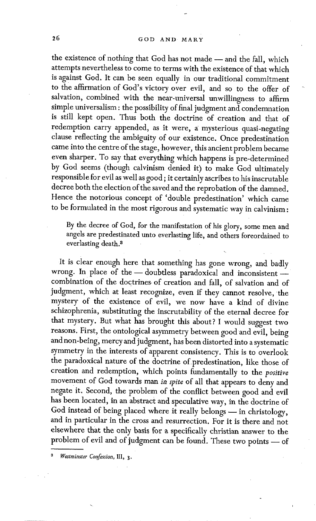the existence of nothing that God has not made -- and the fall, which attempts nevertheless to come to terms with the existence of that which is against God. It can be seen equally in our traditional commitment to the affirmation of God's victory over evil, and so to the offer of salvation, combined with the near-universal unwillingness to affirm simple universalism : the possibility of final judgment and condemnation is still kept open. Thus both the doctrine of creation and that of redemption carry appended, as it were, a mysterious quasi-negating clause reflecting the ambiguity of our existence. Once predestination came into the centre of the stage, however, this ancient problem became even sharper. To say that everything which happens is pre-determined by God seems (though calvinism denied it) to make God ultimately responsible for evil as well as good; it certainly ascribes to his inscrutable decree both the election of the saved and the reprobation of the damned. Hence the notorious concept of 'double predestination' which came to be formulated in the most rigorous and systematic way in calvinism :

By the decree of God, for the manifestation of his glory, some men and angels are predestinated unto everlasting life, and others foreordained to everlasting death. 8

It is clear enough here that something has gone wrong, and badly wrong. In place of the - doubtless paradoxical and inconsistentcombination of the doctrines of creation and fall, of salvation and of judgment, which at least recognize, even if they cannot resolve, the mystery of the existence of evil, we now have a kind of divine schizophrenia, substituting the inscrutability of the eternal decree for that mystery. But what has brought this about? I would suggest two reasons. First, the ontological asymmetry between good and evil, being and non-being, mercy and judgment, has been distorted into a systematic symmetry in the interests of apparent consistency. This is to overlook the paradoxical nature of the doctrine of.predestination, like those of creation and redemption, which points fundamentally to the *positive*  movement of God towards man in *spite* of all that appears to deny and negate it. Second, the problem of the conflict between good and evil has been located, in an abstract and speculative way, in the doctrine of God instead of being placed where it really belongs -- in christology, and in particular in the cross and resurrection. For it is there and not elsewhere that the only basis for a specifically christian answer to the problem of evil and of judgment can be found. These two points -- of

*Westminster Confession, III, 3.*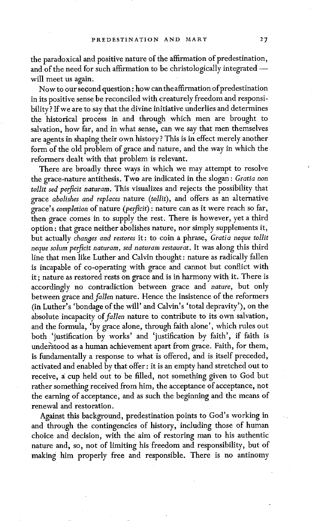the paradoxical and positive nature of the affirmation of predestination, and of the need for such affirmation to be christologically integrated -will meet us again;

Now to our second question: how can the affirmation of predestination in its positive sense be reconciled with creaturely freedom and responsibility ? If we are to say that the divine initiative underlies and determines the historical process in and through which men are brought to salvation, how far, and in what sense, can we say that men themselves are agents in shaping their own history? This is in effect merely another form of the old problem of grace and nature, and the *way* in which the reformers dealt with that problem is relevant.

There are broadly three ways in which we may attempt to resolve the grace-nature antithesis. Two are indicated in the slogan : *Gratia non tollit sed perficit naturam.* This visualizes and rejects the possibility that grace *abolishes and replaces* nature *(tolIit),* and offers as an alternative grace's *completion* of nature *(perficit)* : nature can as it were reach so far, then grace comes in to supply the rest. There is however, yet a third option : that grace neither abolishes nature, nor simply supplements it, but actually *changes and restores* it: to coin a phrase, *Gratia neque tollit neque solum perficit naturam, sed naturam restaurat.* It was along this third line that men like Luther and Calvin thought : nature as radically fallen is incapable of co-operating with grace and cannot but conflict with it ; nature as restored rests on grace and is in harmony with it. There is accordingly no contradiction between grace and *nature,* but only between grace and *fallen* nature. Hence the insistence of the reformers (in Luther's 'bondage of the will' and Calvin's 'total depravity'), on the absolute incapacity of *fallen* nature to contribute to its own salvation, and the formula, 'by grace alone, through faith alone', which rules out both 'justification by works' and 'justification by faith', if faith is under'stood as a human achievement apart from grace. Faith, for them, is fundamentally a response to what is offered, and is itself preceded, activated and enabled by that offer: it is an empty hand stretched out to receive, a cup held out to be filled, not something given to God but rather something received from him, the acceptance of acceptance, not the earning of acceptance, and as such the beginning and the means of renewal and restoration.

Against this background, predestination points to God's working in and through the contingencies of history, including those of human choice and decision, with the aim of restoring man to his authentic nature and, so, not of limiting his freedom and responsibility, but of making him properly free and responsible. There is no antinomy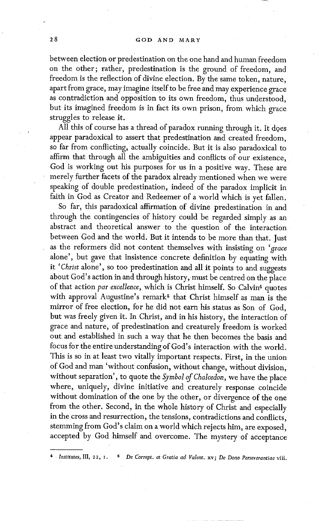between election or predestination on the one hand and human freedom on the other; rather, predestination is the ground of freedom, and freedom is the reflection of divine election. By the same token, nature, apart from grace, may imagine itself to be free and may experience grace as contradiction and opposition to its own freedom, thus understood, but its imagined freedom is in fact its own prison, from which grace struggles to release it.

All this of course has a thread of paradox running through it. It does appear paradoxical to assert that predestination and created freedom, so far from conflicting, actually coincide. But it is also paradoxical to affirm that through all the ambiguities and conflicts of our existence, God is working out his purposes for us in a positive way. These are merely further facets of the paradox already mentioned when we were speaking of double predestination, indeed of the paradox implicit in faith in God as Creator and Redeemer of a world which is yet fallen.

So far, this paradoxical affirmation of divine predestination in and through the contingencies of history could be regarded simply as an abstract and theoretical answer to the question of the interaction between God and the world. But it intends to be more than that. Just as the reformers did not content themselves with insisting on *'grace*  alone', but gave that insistence concrete definition by equating with it *'Christ* alone', so too predestination and all it points to and suggests about God's action in and through history, must be centred on the place of that action *par excellence*, which is Christ himself. So Calvin<sup>4</sup> quotes with approval Augustine's remark<sup> $5$ </sup> that Christ himself as man is the mirror of free election, for he did not earn his status as Son of God, but was freely given it. In Christ, and in his history, the interaction of grace and nature, of predestination and creaturely freedom is worked out and established in such a way that he then becomes the basis and focus for the entire understanding of God's interaction with the world. This is so in at least two vitally important respects. First, in the union of God and man 'without confusion, without change, without division, without separation', to quote the *Symbol of Chalcedon,* we have the place where, uniquely, divine initiative and creaturely response coincide without domination of the one by the other, or divergence of the one from the other. Second, in the whole history of Christ and especially in the cross and resurrection, the tensions, contradictions and conflicts, stemming from God's claim on a world which rejects him, are exposed, accepted by God himself and overcome. The mystery of acceptance

*4 Institutes,* III, 22, I. 5 *De Corrept. et Gratia ad Valent.* xv; *De Dono Perseverantiae* viii.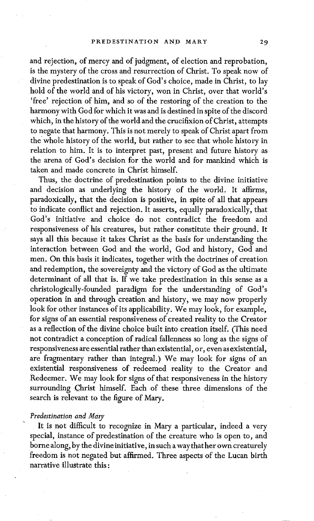and rejection, of mercy and of judgment, of election and reprobation, is the mystery of the cross and resurrection of Christ. To speak now of divine predestination is to speak of God's choice, made in Christ, to lay hold of the world and of his victory, won in Christ, over that world's 'free' rejection of him, and so of the restoring of the creation to the harmony with God for which it was and is destined in spite of the discord which, in the history of the world and the crucifixion of Christ, attempts to negate that harmony. This is not merely to speak of Christ apart from the whole history of the world, but rather to see that whole history in relation to him. It is to interpret past, present and future history as the arena of God's decision for the world and for mankind which is taken and made concrete in Christ himself.

Thus, the doctrine of predestination points to the divine initiative and decision as underlying the history of the world. It affirms, paradoxically, that the decision is positive, in spite of all that appears to indicate conflict and rejection. It asserts, equally paradoxically, that God's initiative and choice do not contradict the freedom and responsiveness of his creatures, but rather constitute their ground. It says all this because it takes Christ as the basis for understanding the interaction between God and the world, God and history, God and men. On this basis it indicates, together with the doctrines of creation and redemption, the sovereignty and the victory of God as the ultimate determinant of all that is. If we take predestination in this sense as a christologically-founded paradigm for the understanding of God's operation in and through creation and history, we may now properly look for other instances of its applicability. We may look, for example, for signs of an essential responsiveness of created reality to the Creator as a reflection of the divine choice built into creation itself. (This need not contradict a conception of radical fallenness so long as the signs of responsiveness are essential rather than existential, or, even as existential, are fragmentary rather than integral.) We may look for signs of an existential responsiveness of redeemed reality to the Creator and Redeemer. We may look for signs of that responsiveness in the history surrounding Christ himself. Each of these three dimensions of the search is relevant to the figure of Mary.

## *Predestination and Mary*

It is not difficult to recognize in Mary a particular, indeed a very special, instance of predestination of the creature who is open to, and borne along, by the divine initiative, in such a way that her own creaturely freedom is not negated but affirmed. Three aspects of the Lucan birth narrative illustrate this: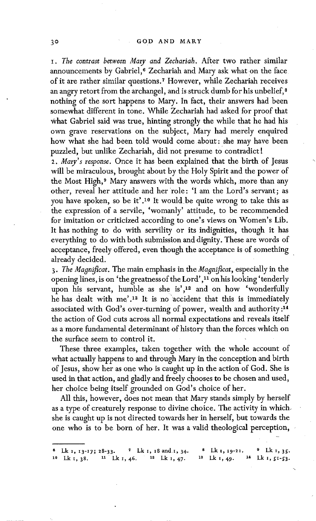*I. The contrast between Mary and Zechariah.* After two rather similar announcements by Gabriel,<sup>6</sup> Zechariah and Mary ask what on the face of it are rather similar questions. 7 However, while Zechariah receives an angry retort from the archangel, and is struck dumb for his unbelief,<sup>8</sup> nothing of the sort happens to Mary. In fact, their answers had been somewhat different in tone. While Zechariah had asked for proof that What Gabriel said was true, hinting strongly the while that he had his own grave reservations on the subject, Mary had merely enquired how what she had been told would come about: she may have been puzzled, but unlike Zechariah, did not presume to contradict!

*2. Mary's response.* Once it has been explained that the birth of Jesus will be miraculous, brought about by the Holy Spirit and the power of the Most High,<sup>9</sup> Mary answers with the words which, more than any other, reveal her attitude and her role: 'I am the Lord's servant; as you have spoken, so be it'.l° It would be quite wrong to take this as the expression of a servile, 'womanly' attitude, to be recommended for imitation or criticized according to one's views on Women's Lib. It has nothing to do with servility or its indignities, though it has everything to do with both submission and dignity. These are words of acceptance, freely offered, even though the acceptance is of something already decided.

*3. The Magnificat.* The main emphasis in the *Magnificat,* especially in the opening lines, is on 'the greatness of the Lord',<sup>11</sup> on his looking 'tenderly upon his servant, humble as she is', 12 and on how 'wonderfully he has dealt with me'.<sup>13</sup> It is no accident that this is immediately associated with God's over-turning of power, wealth and authority :14 the action of God cuts across all normal expectations and reveals itself as a more fundamental determinant of history than the forces which on the surface seem to control it.

These three examples, taken together with the whole account of what actually happens to and through Mary in the conception and birth of Jesus, show her as one who is caught up in the action of God. She is used in that action, and gladly and freely chooses to be chosen and used, her choice being itself grounded on God's choice of her.

All this, however, does not mean that Mary stands simply by herself as a type of creaturely response to divine choice. The activity in which. she is caught up is not directed towards her in herself, but towards the one who is to be born of her. It was a valid theological perception,

<sup>&</sup>lt;sup>3</sup> Lk 1, 13-17; 28-33. <sup>7</sup> Lk 1, 18 and 1, 34. <sup>8</sup> Lk 1, 19-21. <sup>9</sup> Lk 1, 35.<br><sup>10</sup> Lk 1, 28. <sup>11</sup> Lk 1, 46. <sup>12</sup> Lk 1, 47. <sup>18</sup> Lk 1, 49. <sup>14</sup> Lk 1, 51-53.  $10$  Lk<sub>I</sub>, 38. <sup>11</sup> Lk<sub>I</sub>, 46. <sup>12</sup> Lk<sub>I</sub>, 47. <sup>18</sup> Lk<sub>1</sub>, 49.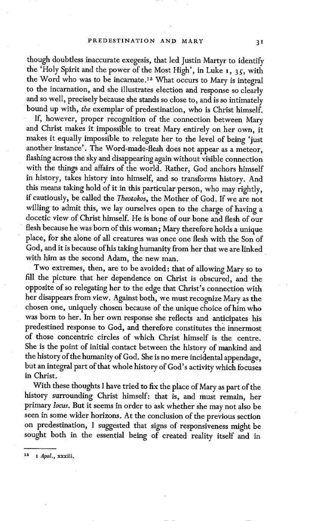though doubtless inaccurate exegesis, that led Justin Martyr to identify the 'Holy Spirit and the power of the Most High', in Luke  $I$ , 35, with the Word who was to be incarnate. 15 What occurs to Mary is integral to the incarnation, and she illustrates election and response so clearly and so well, precisely because she stands so close to, and is so intimately bound up with, *the* exemplar of predestination, who is Christ himself.

If, however, proper recognition of the connection between Mary and Christ makes it impossible to treat Mary entirely on her own, it makes it equally impossible to relegate her to the level of being 'just another instance'. The Word-made-flesh does not appear as a meteor, flashing across the sky and disappearing again without visible connection with the things and affairs of the world. Rather, God anchors himself in history, takes history into himself, and so transforms history. And this means taking hold of it in this particular person, who may rightly, if cautiously, be called the *Theotokos,* the Mother of God. If we are not willing to admit this, we lay ourselves open to the charge of having a doeetic view of Christ himself. He is bone of our bone and flesh of our flesh because he was born of this woman; Mary therefore holds a unique place, for she alone of all creatures was once one flesh with the Son of God, and it is because of his taking humanity from her that we are linked with him as the second Adam, the new man.

Two extremes, then, are to be avoided: that of allowing Mary so to fill the picture that her dependence on Christ is obscured, and the opposite of so relegating her to the edge that Christ's connection with her disappears from view. Against both, we must recognize Mary as the chosen one, uniquely chosen because of the unique choice of him who was born to her. In her own response she reflects and anticipates his predestined response to God, and therefore constitutes the innermost of those concentric circles of which Christ himself is the centre. She is the point of initial contact between the history of mankind and the history of the humanity of God. She is no mere incidental appendage, but an integral part of that whole history of God's activity which focuses in Christ.

With these thoughts I have tried to fix the place of Mary as part of the history surrounding Christ himself: that is, and must remain, her primary *locus.* But it seems in order to ask whether she may not also be seen in some wider horizons. At the conclusion of the previous section on predestination, I suggested that signs of responsiveness might be sought both in the essential being of created reality itself and in

*<sup>15</sup> x Apol.,* xxxiii.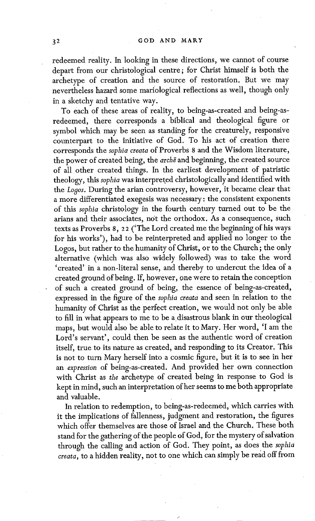redeemed reality. In looking in these directions, we cannot of course depart from our christological centre; for Christ himself is both the archetype of creation and the source of restoration. But we may nevertheless hazard some mariological reflections as well, though only in a sketchy and tentative way.

To each of these areas of reality, to being-as-created and being-asredeemed, there corresponds a biblical and theological figure or symbol which may be seen as standing for the creaturely, responsive counterpart to the initiative of God. To his act of creation there corresponds the *sophia creata* of Proverbs 8 and the Wisdom literature, the power of created being, the *arche* and beginning, the created source of all other created things. In the earliest development of patristic theology, this *sophia* was interpreted christologically and identified with the *Losos,* During the arian controversy, however, it became clear that a more differentiated exegesis was necessary: the consistent exponents of this *sophia* christology in the fourth century turned out to be the arians and their associates, not the orthodox. As a consequence, such texts as Proverbs 8, 22 ('The Lord created me the beginning of his ways for his works'), had to be reinterpreted and applied no longer to the Logos, but rather to the humanity of Christ, or to the Church; the only alternative (which was also widely followed) was to take the word 'created' in a non-literal sense, and thereby to undercut the idea of a created ground of being. If, however, one were to retain the conception of such a created ground of being, the essence of being-as-created, expressed in the figure of the *sophia creata* and seen in relation to the humanity of Christ as the perfect creation, we would not only be able to fill in what appears to me to be a disastrous blank in our theological maps, but would also be able to relate it to Mary. Her word, 'I am the Lord's servant', could then be seen as the authentic word of creation itself, true to its nature as created, and responding to its Creator. This is not to turn Mary herself into a cosmic figure, but it is to see in her an *expression* of being-as-created. And provided her own connection with Christ as *the* archetype of created being in response to God is kept in mind, such an interpretation of her seems to me both appropriate and valuable.

In relation to redemption, to being-as-redeemed, which carries with it the implications of fallenness, judgment and restoration, the figures which offer themselves are those of Israel and the Church. These both stand for the gathering of the people of God, for the mystery of salvation through the calling and action of God. They point, as does the *sophia creata, to a hidden reality, not to one which can simply be read off from*